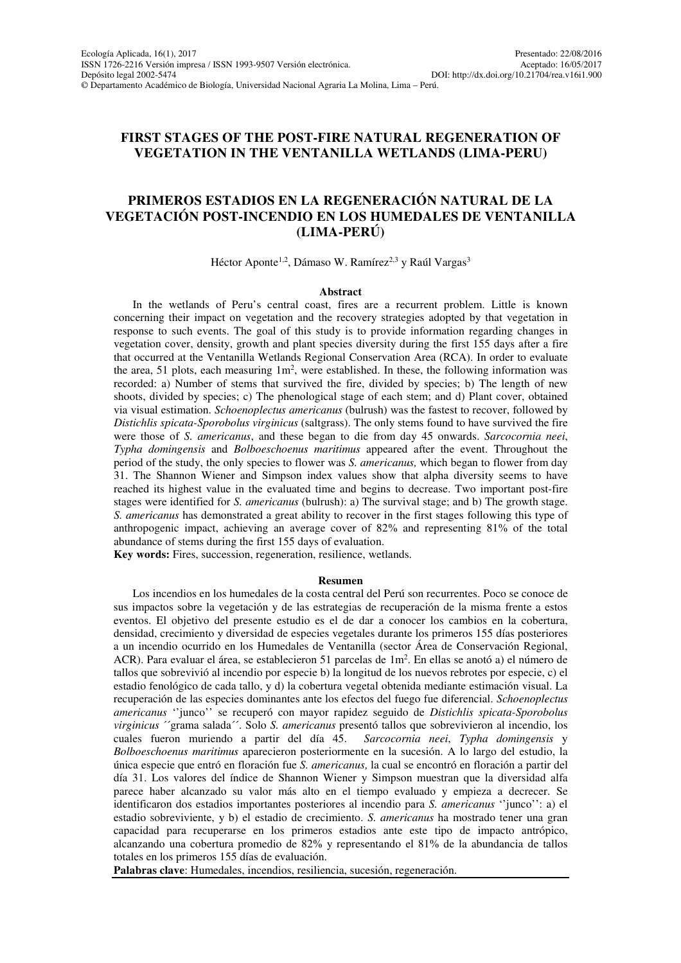# **FIRST STAGES OF THE POST-FIRE NATURAL REGENERATION OF VEGETATION IN THE VENTANILLA WETLANDS (LIMA-PERU)**

# **PRIMEROS ESTADIOS EN LA REGENERACIÓN NATURAL DE LA VEGETACIÓN POST-INCENDIO EN LOS HUMEDALES DE VENTANILLA (LIMA-PERÚ)**

Héctor Aponte<sup>1,2</sup>, Dámaso W. Ramírez<sup>2,3</sup> y Raúl Vargas<sup>3</sup>

### **Abstract**

In the wetlands of Peru's central coast, fires are a recurrent problem. Little is known concerning their impact on vegetation and the recovery strategies adopted by that vegetation in response to such events. The goal of this study is to provide information regarding changes in vegetation cover, density, growth and plant species diversity during the first 155 days after a fire that occurred at the Ventanilla Wetlands Regional Conservation Area (RCA). In order to evaluate the area, 51 plots, each measuring  $1m^2$ , were established. In these, the following information was recorded: a) Number of stems that survived the fire, divided by species; b) The length of new shoots, divided by species; c) The phenological stage of each stem; and d) Plant cover, obtained via visual estimation. *Schoenoplectus americanus* (bulrush) was the fastest to recover, followed by *Distichlis spicata-Sporobolus virginicus* (saltgrass). The only stems found to have survived the fire were those of *S. americanus*, and these began to die from day 45 onwards. *Sarcocornia neei*, *Typha domingensis* and *Bolboeschoenus maritimus* appeared after the event. Throughout the period of the study, the only species to flower was *S. americanus,* which began to flower from day 31. The Shannon Wiener and Simpson index values show that alpha diversity seems to have reached its highest value in the evaluated time and begins to decrease. Two important post-fire stages were identified for *S. americanus* (bulrush): a) The survival stage; and b) The growth stage. *S. americanus* has demonstrated a great ability to recover in the first stages following this type of anthropogenic impact, achieving an average cover of 82% and representing 81% of the total abundance of stems during the first 155 days of evaluation.

**Key words:** Fires, succession, regeneration, resilience, wetlands.

### **Resumen**

Los incendios en los humedales de la costa central del Perú son recurrentes. Poco se conoce de sus impactos sobre la vegetación y de las estrategias de recuperación de la misma frente a estos eventos. El objetivo del presente estudio es el de dar a conocer los cambios en la cobertura, densidad, crecimiento y diversidad de especies vegetales durante los primeros 155 días posteriores a un incendio ocurrido en los Humedales de Ventanilla (sector Área de Conservación Regional, ACR). Para evaluar el área, se establecieron 51 parcelas de 1m<sup>2</sup>. En ellas se anotó a) el número de tallos que sobrevivió al incendio por especie b) la longitud de los nuevos rebrotes por especie, c) el estadio fenológico de cada tallo, y d) la cobertura vegetal obtenida mediante estimación visual. La recuperación de las especies dominantes ante los efectos del fuego fue diferencial. *Schoenoplectus americanus* ''junco'' se recuperó con mayor rapidez seguido de *Distichlis spicata-Sporobolus virginicus* ´´grama salada´´. Solo *S. americanus* presentó tallos que sobrevivieron al incendio, los cuales fueron muriendo a partir del día 45. *Sarcocornia neei*, *Typha domingensis* y *Bolboeschoenus maritimus* aparecieron posteriormente en la sucesión. A lo largo del estudio, la única especie que entró en floración fue *S. americanus,* la cual se encontró en floración a partir del día 31. Los valores del índice de Shannon Wiener y Simpson muestran que la diversidad alfa parece haber alcanzado su valor más alto en el tiempo evaluado y empieza a decrecer. Se identificaron dos estadios importantes posteriores al incendio para *S. americanus* ''junco'': a) el estadio sobreviviente, y b) el estadio de crecimiento. *S. americanus* ha mostrado tener una gran capacidad para recuperarse en los primeros estadios ante este tipo de impacto antrópico, alcanzando una cobertura promedio de 82% y representando el 81% de la abundancia de tallos totales en los primeros 155 días de evaluación.

**Palabras clave**: Humedales, incendios, resiliencia, sucesión, regeneración.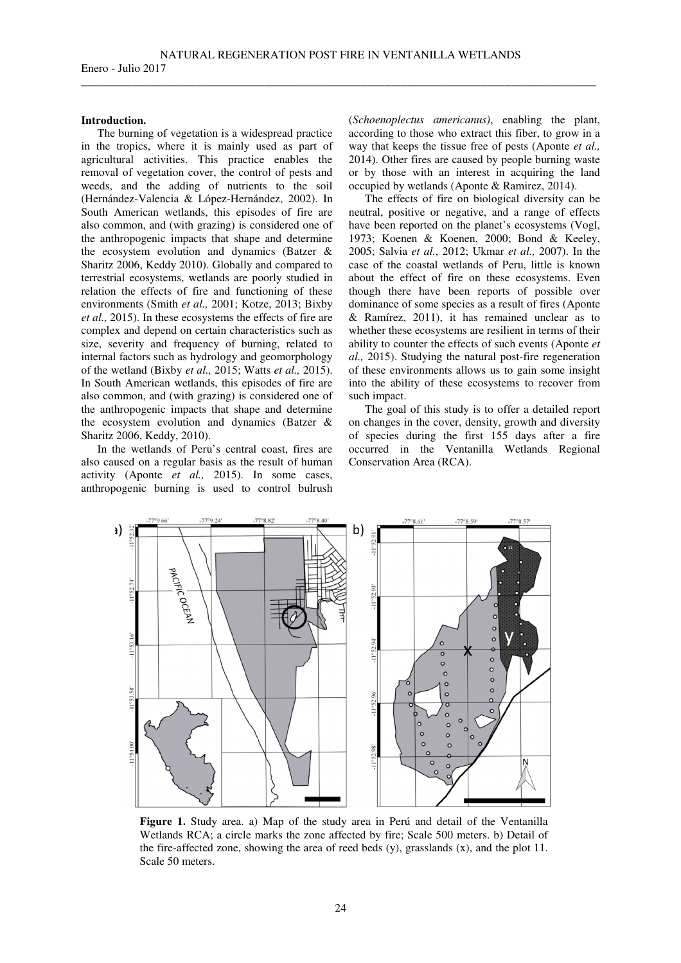## **Introduction.**

The burning of vegetation is a widespread practice in the tropics, where it is mainly used as part of agricultural activities. This practice enables the removal of vegetation cover, the control of pests and weeds, and the adding of nutrients to the soil (Hernández-Valencia & López-Hernández, 2002). In South American wetlands, this episodes of fire are also common, and (with grazing) is considered one of the anthropogenic impacts that shape and determine the ecosystem evolution and dynamics (Batzer & Sharitz 2006, Keddy 2010). Globally and compared to terrestrial ecosystems, wetlands are poorly studied in relation the effects of fire and functioning of these environments (Smith *et al.,* 2001; Kotze, 2013; Bixby *et al.,* 2015). In these ecosystems the effects of fire are complex and depend on certain characteristics such as size, severity and frequency of burning, related to internal factors such as hydrology and geomorphology of the wetland (Bixby *et al.,* 2015; Watts *et al.,* 2015). In South American wetlands, this episodes of fire are also common, and (with grazing) is considered one of the anthropogenic impacts that shape and determine the ecosystem evolution and dynamics (Batzer & Sharitz 2006, Keddy, 2010).

In the wetlands of Peru's central coast, fires are also caused on a regular basis as the result of human activity (Aponte *et al.,* 2015). In some cases, anthropogenic burning is used to control bulrush

(*Schoenoplectus americanus)*, enabling the plant, according to those who extract this fiber, to grow in a way that keeps the tissue free of pests (Aponte *et al.,* 2014). Other fires are caused by people burning waste or by those with an interest in acquiring the land occupied by wetlands (Aponte & Ramirez, 2014).

The effects of fire on biological diversity can be neutral, positive or negative, and a range of effects have been reported on the planet's ecosystems (Vogl, 1973; Koenen & Koenen, 2000; Bond & Keeley, 2005; Salvia *et al.*, 2012; Ukmar *et al.,* 2007). In the case of the coastal wetlands of Peru, little is known about the effect of fire on these ecosystems. Even though there have been reports of possible over dominance of some species as a result of fires (Aponte & Ramírez, 2011), it has remained unclear as to whether these ecosystems are resilient in terms of their ability to counter the effects of such events (Aponte *et al.,* 2015). Studying the natural post-fire regeneration of these environments allows us to gain some insight into the ability of these ecosystems to recover from such impact.

The goal of this study is to offer a detailed report on changes in the cover, density, growth and diversity of species during the first 155 days after a fire occurred in the Ventanilla Wetlands Regional Conservation Area (RCA).



**Figure 1.** Study area. a) Map of the study area in Perú and detail of the Ventanilla Wetlands RCA; a circle marks the zone affected by fire; Scale 500 meters. b) Detail of the fire-affected zone, showing the area of reed beds (y), grasslands (x), and the plot 11. Scale 50 meters.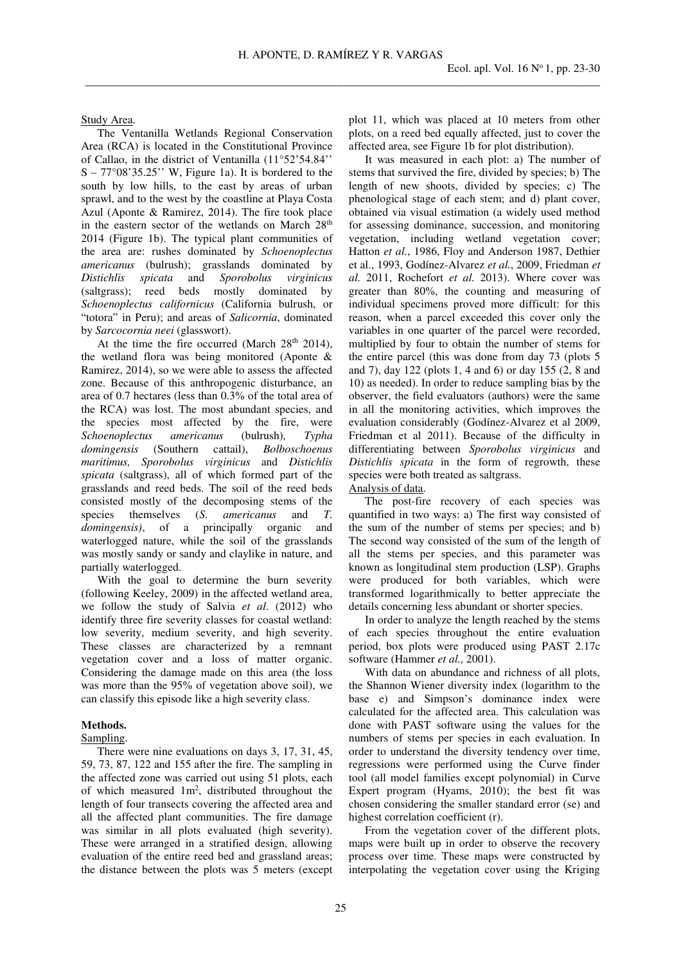Study Area.

The Ventanilla Wetlands Regional Conservation Area (RCA) is located in the Constitutional Province of Callao, in the district of Ventanilla (11°52'54.84''  $S - 77^{\circ}08'35.25''$  W, Figure 1a). It is bordered to the south by low hills, to the east by areas of urban sprawl, and to the west by the coastline at Playa Costa Azul (Aponte & Ramirez, 2014). The fire took place in the eastern sector of the wetlands on March  $28<sup>th</sup>$ 2014 (Figure 1b). The typical plant communities of the area are: rushes dominated by *Schoenoplectus americanus* (bulrush); grasslands dominated by *Distichlis spicata* and *Sporobolus virginicus* (saltgrass); reed beds mostly dominated by *Schoenoplectus californicus* (California bulrush, or "totora" in Peru); and areas of *Salicornia*, dominated by *Sarcocornia neei* (glasswort).

At the time the fire occurred (March  $28<sup>th</sup> 2014$ ), the wetland flora was being monitored (Aponte & Ramirez, 2014), so we were able to assess the affected zone. Because of this anthropogenic disturbance, an area of 0.7 hectares (less than 0.3% of the total area of the RCA) was lost. The most abundant species, and the species most affected by the fire, were *Schoenoplectus americanus* (bulrush)*, Typha domingensis* (Southern cattail), *Bolboschoenus maritimus, Sporobolus virginicus* and *Distichlis spicata* (saltgrass), all of which formed part of the grasslands and reed beds. The soil of the reed beds consisted mostly of the decomposing stems of the species themselves (*S. americanus* and *T. domingensis)*, of a principally organic and waterlogged nature, while the soil of the grasslands was mostly sandy or sandy and claylike in nature, and partially waterlogged.

With the goal to determine the burn severity (following Keeley, 2009) in the affected wetland area, we follow the study of Salvia *et al*. (2012) who identify three fire severity classes for coastal wetland: low severity, medium severity, and high severity. These classes are characterized by a remnant vegetation cover and a loss of matter organic. Considering the damage made on this area (the loss was more than the 95% of vegetation above soil), we can classify this episode like a high severity class.

## **Methods.**

#### Sampling.

There were nine evaluations on days 3, 17, 31, 45, 59, 73, 87, 122 and 155 after the fire. The sampling in the affected zone was carried out using 51 plots, each of which measured  $1m^2$ , distributed throughout the length of four transects covering the affected area and all the affected plant communities. The fire damage was similar in all plots evaluated (high severity). These were arranged in a stratified design, allowing evaluation of the entire reed bed and grassland areas; the distance between the plots was 5 meters (except

plot 11, which was placed at 10 meters from other plots, on a reed bed equally affected, just to cover the affected area, see Figure 1b for plot distribution).

It was measured in each plot: a) The number of stems that survived the fire, divided by species; b) The length of new shoots, divided by species; c) The phenological stage of each stem; and d) plant cover, obtained via visual estimation (a widely used method for assessing dominance, succession, and monitoring vegetation, including wetland vegetation cover; Hatton *et al.*, 1986, Floy and Anderson 1987, Dethier et al., 1993, Godínez-Alvarez *et al.*, 2009, Friedman *et al.* 2011, Rochefort *et al.* 2013). Where cover was greater than 80%, the counting and measuring of individual specimens proved more difficult: for this reason, when a parcel exceeded this cover only the variables in one quarter of the parcel were recorded, multiplied by four to obtain the number of stems for the entire parcel (this was done from day 73 (plots 5 and 7), day 122 (plots 1, 4 and 6) or day 155 (2, 8 and 10) as needed). In order to reduce sampling bias by the observer, the field evaluators (authors) were the same in all the monitoring activities, which improves the evaluation considerably (Godínez-Alvarez et al 2009, Friedman et al 2011). Because of the difficulty in differentiating between *Sporobolus virginicus* and *Distichlis spicata* in the form of regrowth, these species were both treated as saltgrass.

# Analysis of data.

The post-fire recovery of each species was quantified in two ways: a) The first way consisted of the sum of the number of stems per species; and b) The second way consisted of the sum of the length of all the stems per species, and this parameter was known as longitudinal stem production (LSP). Graphs were produced for both variables, which were transformed logarithmically to better appreciate the details concerning less abundant or shorter species.

In order to analyze the length reached by the stems of each species throughout the entire evaluation period, box plots were produced using PAST 2.17c software (Hammer *et al.,* 2001).

With data on abundance and richness of all plots, the Shannon Wiener diversity index (logarithm to the base e) and Simpson's dominance index were calculated for the affected area. This calculation was done with PAST software using the values for the numbers of stems per species in each evaluation. In order to understand the diversity tendency over time, regressions were performed using the Curve finder tool (all model families except polynomial) in Curve Expert program (Hyams, 2010); the best fit was chosen considering the smaller standard error (se) and highest correlation coefficient (r).

From the vegetation cover of the different plots, maps were built up in order to observe the recovery process over time. These maps were constructed by interpolating the vegetation cover using the Kriging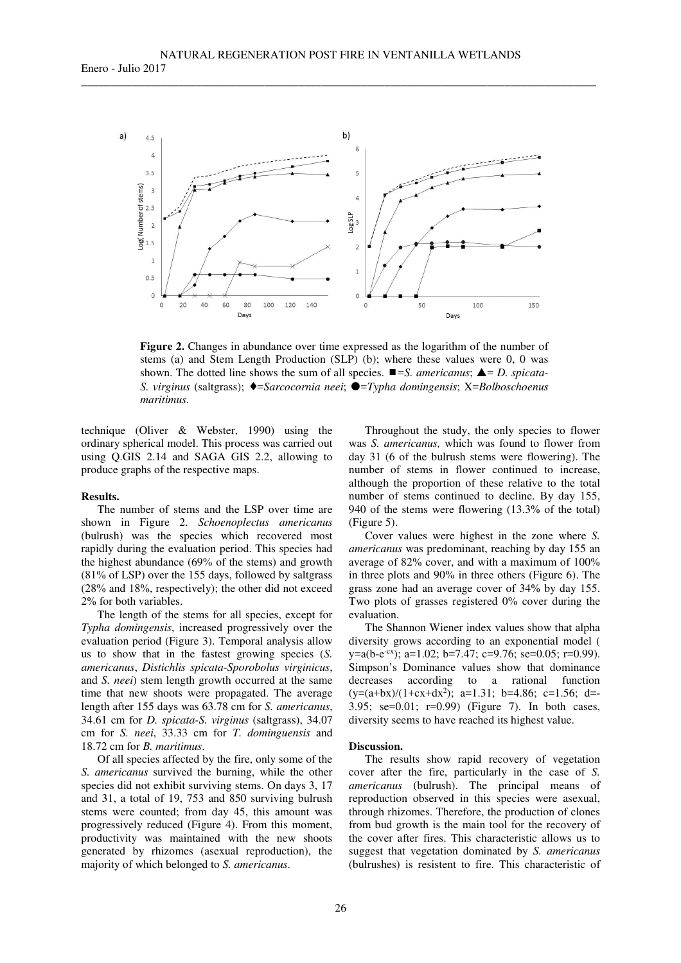

**Figure 2.** Changes in abundance over time expressed as the logarithm of the number of stems (a) and Stem Length Production (SLP) (b); where these values were 0, 0 was shown. The dotted line shows the sum of all species.  $\blacksquare = S$ . *americanus*;  $\blacktriangle = D$ . *spicata-S. virginus* (saltgrass); ♦=*Sarcocornia neei*; ●=*Typha domingensis*; X=*Bolboschoenus maritimus*.

technique (Oliver & Webster, 1990) using the ordinary spherical model. This process was carried out using Q.GIS 2.14 and SAGA GIS 2.2, allowing to produce graphs of the respective maps.

## **Results.**

The number of stems and the LSP over time are shown in Figure 2. *Schoenoplectus americanus* (bulrush) was the species which recovered most rapidly during the evaluation period. This species had the highest abundance (69% of the stems) and growth (81% of LSP) over the 155 days, followed by saltgrass (28% and 18%, respectively); the other did not exceed 2% for both variables.

The length of the stems for all species, except for *Typha domingensis*, increased progressively over the evaluation period (Figure 3). Temporal analysis allow us to show that in the fastest growing species (*S. americanus*, *Distichlis spicata*-*Sporobolus virginicus*, and *S. neei*) stem length growth occurred at the same time that new shoots were propagated. The average length after 155 days was 63.78 cm for *S. americanus*, 34.61 cm for *D. spicata-S. virginus* (saltgrass), 34.07 cm for *S. neei*, 33.33 cm for *T. dominguensis* and 18.72 cm for *B. maritimus*.

Of all species affected by the fire, only some of the *S. americanus* survived the burning, while the other species did not exhibit surviving stems. On days 3, 17 and 31, a total of 19, 753 and 850 surviving bulrush stems were counted; from day 45, this amount was progressively reduced (Figure 4). From this moment, productivity was maintained with the new shoots generated by rhizomes (asexual reproduction), the majority of which belonged to *S. americanus*.

Throughout the study, the only species to flower was *S. americanus,* which was found to flower from day 31 (6 of the bulrush stems were flowering). The number of stems in flower continued to increase, although the proportion of these relative to the total number of stems continued to decline. By day 155, 940 of the stems were flowering (13.3% of the total) (Figure 5).

Cover values were highest in the zone where *S. americanus* was predominant, reaching by day 155 an average of 82% cover, and with a maximum of 100% in three plots and 90% in three others (Figure 6). The grass zone had an average cover of 34% by day 155. Two plots of grasses registered 0% cover during the evaluation.

The Shannon Wiener index values show that alpha diversity grows according to an exponential model (  $y=a(b-e^{-cx})$ ; a=1.02; b=7.47; c=9.76; se=0.05; r=0.99). Simpson's Dominance values show that dominance decreases according to a rational function  $(y=(a+bx)/(1+cx+dx^2); a=1.31; b=4.86; c=1.56; d=$ 3.95; se=0.01; r=0.99) (Figure 7). In both cases, diversity seems to have reached its highest value.

### **Discussion.**

The results show rapid recovery of vegetation cover after the fire, particularly in the case of *S. americanus* (bulrush). The principal means of reproduction observed in this species were asexual, through rhizomes. Therefore, the production of clones from bud growth is the main tool for the recovery of the cover after fires. This characteristic allows us to suggest that vegetation dominated by *S. americanus* (bulrushes) is resistent to fire. This characteristic of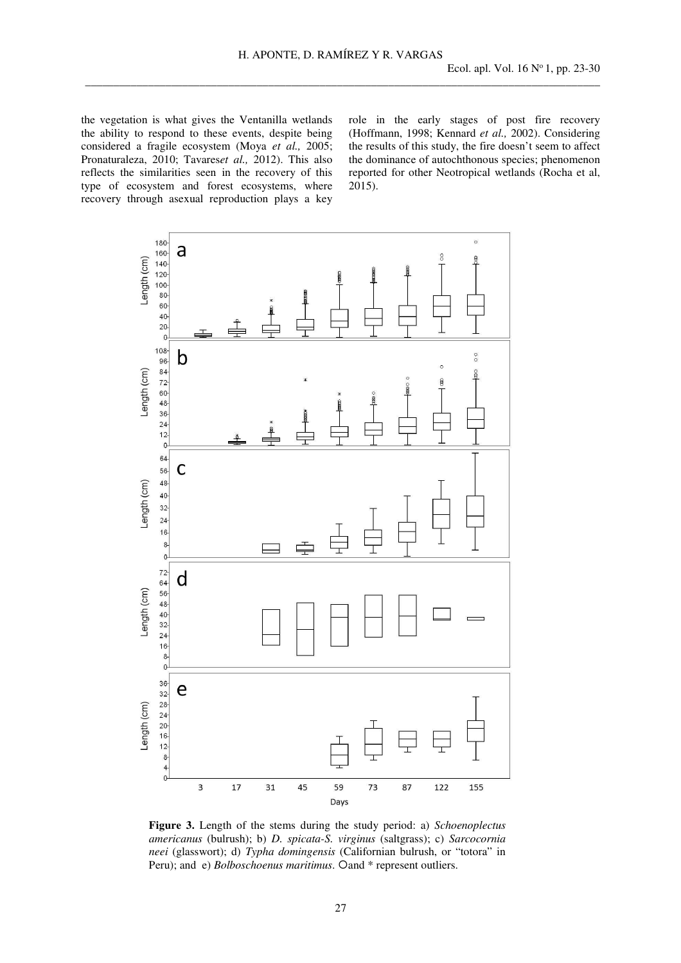the vegetation is what gives the Ventanilla wetlands the ability to respond to these events, despite being considered a fragile ecosystem (Moya *et al.,* 2005; Pronaturaleza, 2010; Tavares*et al.,* 2012). This also reflects the similarities seen in the recovery of this type of ecosystem and forest ecosystems, where recovery through asexual reproduction plays a key role in the early stages of post fire recovery (Hoffmann, 1998; Kennard *et al.,* 2002). Considering the results of this study, the fire doesn't seem to affect the dominance of autochthonous species; phenomenon reported for other Neotropical wetlands (Rocha et al, 2015).



**Figure 3.** Length of the stems during the study period: a) *Schoenoplectus americanus* (bulrush); b) *D. spicata-S. virginus* (saltgrass); c) *Sarcocornia neei* (glasswort); d) *Typha domingensis* (Californian bulrush, or "totora" in Peru); and e) *Bolboschoenus maritimus*. Oand \* represent outliers.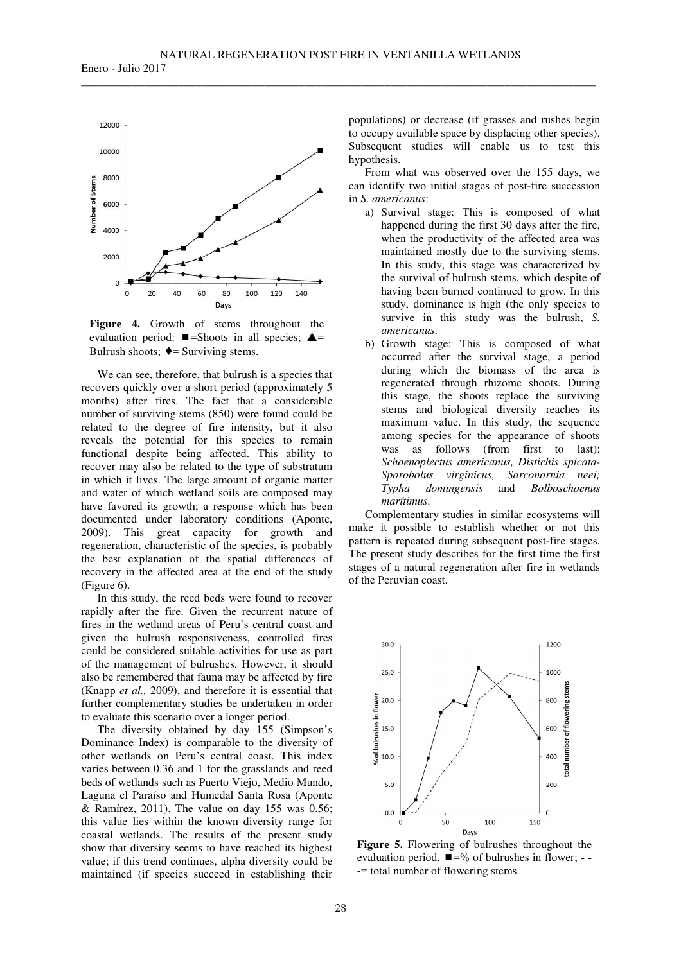

**Figure 4.** Growth of stems throughout the evaluation period:  $\blacksquare$ =Shoots in all species;  $\blacktriangle$ = Bulrush shoots;  $\triangleleft$  = Surviving stems.

We can see, therefore, that bulrush is a species that recovers quickly over a short period (approximately 5 months) after fires. The fact that a considerable number of surviving stems (850) were found could be related to the degree of fire intensity, but it also reveals the potential for this species to remain functional despite being affected. This ability to recover may also be related to the type of substratum in which it lives. The large amount of organic matter and water of which wetland soils are composed may have favored its growth; a response which has been documented under laboratory conditions (Aponte, 2009). This great capacity for growth and regeneration, characteristic of the species, is probably the best explanation of the spatial differences of recovery in the affected area at the end of the study (Figure 6).

In this study, the reed beds were found to recover rapidly after the fire. Given the recurrent nature of fires in the wetland areas of Peru's central coast and given the bulrush responsiveness, controlled fires could be considered suitable activities for use as part of the management of bulrushes. However, it should also be remembered that fauna may be affected by fire (Knapp *et al.,* 2009), and therefore it is essential that further complementary studies be undertaken in order to evaluate this scenario over a longer period.

The diversity obtained by day 155 (Simpson's Dominance Index) is comparable to the diversity of other wetlands on Peru's central coast. This index varies between 0.36 and 1 for the grasslands and reed beds of wetlands such as Puerto Viejo, Medio Mundo, Laguna el Paraíso and Humedal Santa Rosa (Aponte  $&$  Ramírez, 2011). The value on day 155 was 0.56; this value lies within the known diversity range for coastal wetlands. The results of the present study show that diversity seems to have reached its highest value; if this trend continues, alpha diversity could be maintained (if species succeed in establishing their

populations) or decrease (if grasses and rushes begin to occupy available space by displacing other species). Subsequent studies will enable us to test this hypothesis.

From what was observed over the 155 days, we can identify two initial stages of post-fire succession in *S. americanus*:

- a) Survival stage: This is composed of what happened during the first 30 days after the fire, when the productivity of the affected area was maintained mostly due to the surviving stems. In this study, this stage was characterized by the survival of bulrush stems, which despite of having been burned continued to grow. In this study, dominance is high (the only species to survive in this study was the bulrush, *S. americanus*.
- b) Growth stage: This is composed of what occurred after the survival stage, a period during which the biomass of the area is regenerated through rhizome shoots. During this stage, the shoots replace the surviving stems and biological diversity reaches its maximum value. In this study, the sequence among species for the appearance of shoots was as follows (from first to last): *Schoenoplectus americanus, Distichis spicata-Sporobolus virginicus, Sarconornia neei; Typha domingensis* and *Bolboschoenus marítimus*.

Complementary studies in similar ecosystems will make it possible to establish whether or not this pattern is repeated during subsequent post-fire stages. The present study describes for the first time the first stages of a natural regeneration after fire in wetlands of the Peruvian coast.



**Figure 5.** Flowering of bulrushes throughout the evaluation period.  $\blacksquare = \%$  of bulrushes in flower; - -**-**= total number of flowering stems.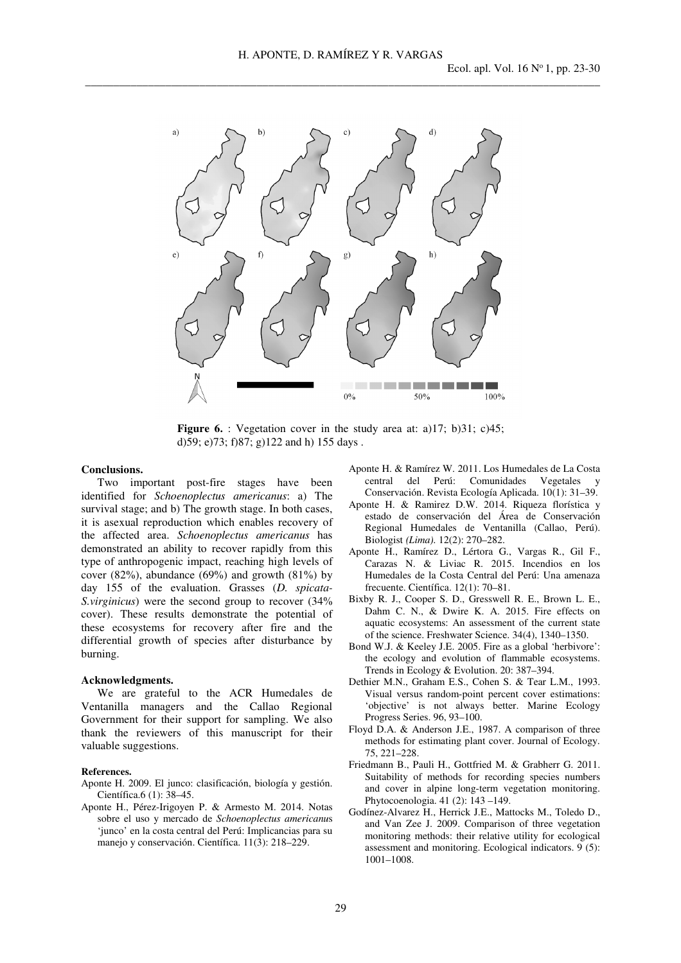

**Figure 6.** : Vegetation cover in the study area at: a)17; b)31; c)45; d)59; e)73; f)87; g)122 and h) 155 days .

# **Conclusions.**

Two important post-fire stages have been identified for *Schoenoplectus americanus*: a) The survival stage; and b) The growth stage. In both cases, it is asexual reproduction which enables recovery of the affected area. *Schoenoplectus americanus* has demonstrated an ability to recover rapidly from this type of anthropogenic impact, reaching high levels of cover  $(82\%)$ , abundance  $(69\%)$  and growth  $(81\%)$  by day 155 of the evaluation. Grasses (*D. spicata-S.virginicus*) were the second group to recover (34% cover). These results demonstrate the potential of these ecosystems for recovery after fire and the differential growth of species after disturbance by burning.

### **Acknowledgments.**

We are grateful to the ACR Humedales de Ventanilla managers and the Callao Regional Government for their support for sampling. We also thank the reviewers of this manuscript for their valuable suggestions.

### **References.**

- Aponte H. 2009. El junco: clasificación, biología y gestión. Científica.6 (1): 38–45.
- Aponte H., Pérez-Irigoyen P. & Armesto M. 2014. Notas sobre el uso y mercado de *Schoenoplectus americanu*s 'junco' en la costa central del Perú: Implicancias para su manejo y conservación. Científica. 11(3): 218–229.
- Aponte H. & Ramírez W. 2011. Los Humedales de La Costa central del Perú: Comunidades Vegetales y Conservación. Revista Ecología Aplicada. 10(1): 31–39.
- Aponte H. & Ramirez D.W. 2014. Riqueza florística y estado de conservación del Área de Conservación Regional Humedales de Ventanilla (Callao, Perú). Biologist *(Lima).* 12(2): 270–282.
- Aponte H., Ramírez D., Lértora G., Vargas R., Gil F., Carazas N. & Liviac R. 2015. Incendios en los Humedales de la Costa Central del Perú: Una amenaza frecuente. Científica. 12(1): 70–81.
- Bixby R. J., Cooper S. D., Gresswell R. E., Brown L. E., Dahm C. N., & Dwire K. A. 2015. Fire effects on aquatic ecosystems: An assessment of the current state of the science. Freshwater Science. 34(4), 1340–1350.
- Bond W.J. & Keeley J.E. 2005. Fire as a global 'herbivore': the ecology and evolution of flammable ecosystems. Trends in Ecology & Evolution. 20: 387–394.
- Dethier M.N., Graham E.S., Cohen S. & Tear L.M., 1993. Visual versus random-point percent cover estimations: 'objective' is not always better. Marine Ecology Progress Series. 96, 93–100.
- Floyd D.A. & Anderson J.E., 1987. A comparison of three methods for estimating plant cover. Journal of Ecology. 75, 221–228.
- Friedmann B., Pauli H., Gottfried M. & Grabherr G. 2011. Suitability of methods for recording species numbers and cover in alpine long-term vegetation monitoring. Phytocoenologia. 41 (2): 143 –149.
- Godínez-Alvarez H., Herrick J.E., Mattocks M., Toledo D., and Van Zee J. 2009. Comparison of three vegetation monitoring methods: their relative utility for ecological assessment and monitoring. Ecological indicators. 9 (5): 1001–1008.